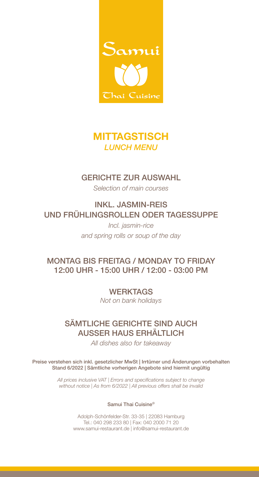

# **MITTAGSTISCH** *LUNCH MENU*

### GERICHTE ZUR AUSWAHL

*Selection of main courses*

INKL. JASMIN-REIS UND FRÜHLINGSROLLEN ODER TAGESSUPPE

> *Incl. jasmin-rice and spring rolls or soup of the day*

### MONTAG BIS FREITAG / MONDAY TO FRIDAY 12:00 UHR - 15:00 UHR / 12:00 - 03:00 PM

**WERKTAGS** *Not on bank holidays*

## SÄMTLICHE GERICHTE SIND AUCH AUSSER HAUS ERHÄLTLICH

*All dishes also for takeaway*

Preise verstehen sich inkl. gesetzlicher MwSt | Irrtümer und Änderungen vorbehalten Stand 6/2022 | Sämtliche vorherigen Angebote sind hiermit ungültig

> *All prices inclusive VAT | Errors and specifications subject to change without notice | As from 6/2022 | All previous offers shall be invalid*

#### Samui Thai Cuisine©

Adolph-Schönfelder-Str. 33-35 | 22083 Hamburg Tel.: 040 298 233 80 | Fax: 040 2000 71 20 www.samui-restaurant.de | info@samui-restaurant.de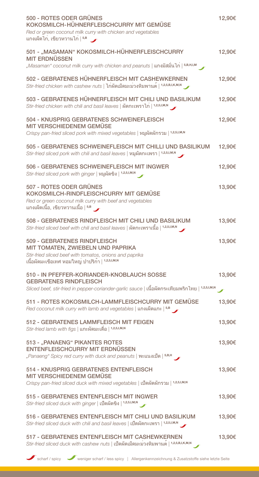| 500 - ROTES ODER GRÜNES<br>KOKOSMILCH-HÜHNERFLEISCHCURRY MIT GEMÜSE<br>Red or green coconut milk curry with chicken and vegetables<br>ี่แกงเผ็ดไก่, เขียวหวานไก <sup>่</sup>   <sup>5,B</sup> →          | 12,90€ |
|----------------------------------------------------------------------------------------------------------------------------------------------------------------------------------------------------------|--------|
| 501 - "MASAMAN" KOKOSMILCH-HÜHNERFLEISCHCURRY<br><b>MIT ERDNÜSSEN</b><br>"Masaman" coconut milk curry with chicken and peanuts   แกงมัสมั่นไก <sup>่</sup>   5,B,H,I,M                                   | 12,90€ |
| 502 - GEBRATENES HÜHNERFLEISCH MIT CASHEWKERNEN<br>Stir-fried chicken with cashew nuts   ไก <sup>่</sup> ผัดเม็ดมะม <sup>่</sup> วงหิมพานต <sup>์</sup>   <sup>1,2,5,B,I,K,M,N</sup>                     | 12,90€ |
| 503 - GEBRATENES HÜHNERFLEISCH MIT CHILI UND BASILIKUM<br>Stir-fried chicken with chili and basil leaves   ผัดกะเพราไก   1,2,5,1, M,N                                                                    | 12,90€ |
| 504 - KNUSPRIG GEBRATENES SCHWEINEFLEISCH<br><b>MIT VERSCHIEDENEM GEMÜSE</b><br>Crispy pan-fried sliced pork with mixed vegetables   หมูผัดผักรวม   1,2,5,1,M,N                                          | 12,90€ |
| 505 - GEBRATENES SCHWEINEFLEISCH MIT CHILLI UND BASILIKUM<br>Stir-fried sliced pork with chili and basil leaves   หมูผัดกะเพรา   1,2,5,1,M,N                                                             | 12,90€ |
| 506 - GEBRATENES SCHWEINEFLEISCH MIT INGWER<br>Stir-fried sliced pork with ginger   หมูผัดขิง   1,2,5,1, M, N                                                                                            | 12,90€ |
| 507 - ROTES ODER GRÜNES<br>KOKOSMILCH-RINDFLEISCHCURRY MIT GEMÜSE<br>Red or green coconut milk curry with beef and vegetables<br>ี แกงเผ็ดเนื้อ, เขียวหวานเนื้อ   <sup>5,B</sup> __                      | 13,90€ |
| 508 - GEBRATENES RINDFLEISCH MIT CHILI UND BASILIKUM<br>Stir-fried sliced beef with chili and basil leaves   ผัดกะเพราเนื้อ   1,2,5,1,M,N                                                                | 13,90€ |
| 509 - GEBRATENES RINDFLEISCH<br>MIT TOMATEN, ZWIEBELN UND PAPRIKA<br>Stir-fried sliced beef with tomatos, onions and paprika<br>เนื้อผัดมะเขือเทศ หอมใหญ่ ปาปริก <sup>้</sup> า   <sup>1,2,5,I,M,N</sup> | 13,90€ |
| 510 - IN PFEFFER-KORIANDER-KNOBLAUCH SOSSE<br><b>GEBRATENES RINDFLEISCH</b><br>Sliced beef, stir-fried in pepper-coriander-garlic sauce   เนื้อผัดกระเทียมพริกไทย   1,2,5,1,M,N                          | 13,90€ |
| 511 - ROTES KOKOSMILCH-LAMMFLEISCHCURRY MIT GEMÜSE<br>Red coconut milk curry with lamb and vegetables   แกงเผ็ดแกะ $ ^{5,B}$                                                                             | 13,90€ |
| 512 - GEBRATENES LAMMFLEISCH MIT FEIGEN<br>Stir-fried lamb with figs   แกะผัดมะเดื่อ   1,2,5,1, M,N                                                                                                      | 13,90€ |
| 513 - "PANAENG" PIKANTES ROTES<br>ENTENFLEISCHCURRY MIT ERDNÜSSEN<br>"Panaeng" Spicy red curry with duck and peanuts   พะแนงเปิด   5,B,H                                                                 | 13,90€ |
| 514 - KNUSPRIG GEBRATENES ENTENFLEISCH<br>MIT VERSCHIEDENEM GEMÜSE<br>Crispy pan-fried sliced duck with mixed vegetables   เปิดผัดผักรวม   1,2,5,I,M,N                                                   | 13,90€ |
| 515 - GEBRATENES ENTENFLEISCH MIT INGWER<br>Stir-fried sliced duck with ginger   เปิดผัดขิง   1,2,5,1, M, N                                                                                              | 13,90€ |
| 516 - GEBRATENES ENTENFLEISCH MIT CHILI UND BASILIKUM<br>Stir-fried sliced duck with chili and basil leaves   เปิดผัดกะเพรา   1,2,5,1,M,N                                                                | 13,90€ |
| 517 - GEBRATENES ENTENFLEISCH MIT CASHEWKERNEN<br>Stir-fried sliced duck with cashew nuts   เปิดผัดเม็ดมะม่วงหิมพานต <sup>์</sup>   <sup>1,2,5,B,I,K,M,N</sup>                                           | 13,90€ |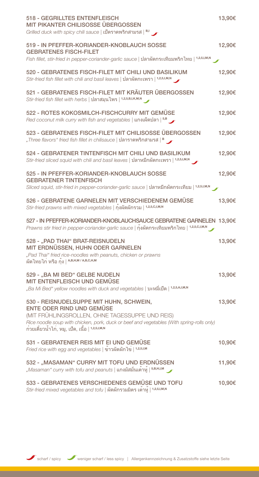| <b>518 - GEGRILLTES ENTENFLEISCH</b><br>MIT PIKANTER CHILISOSSE ÜBERGOSSEN<br>Grilled duck with spicy chili sauce   เปิดราดพริกสามรส $ B_1 $                                                                 | 13,90€ |
|--------------------------------------------------------------------------------------------------------------------------------------------------------------------------------------------------------------|--------|
| 519 - IN PFEFFER-KORIANDER-KNOBLAUCH SOSSE<br><b>GEBRATENES FISCH-FILET</b>                                                                                                                                  | 12,90€ |
| Fish fillet, stir-fried in pepper-coriander-garlic sauce   ปลาผัดกระเทียมพริกไทย   1,2,5,1, M,N                                                                                                              |        |
| 520 - GEBRATENES FISCH-FILET MIT CHILI UND BASILIKUM<br>Stir-fried fish fillet with chili and basil leaves   ปลาผัดกะเพรา   1,2,5,1,M,N                                                                      | 12,90€ |
| 521 - GEBRATENES FISCH-FILET MIT KRÄUTER ÜBERGOSSEN<br>Stir-fried fish fillet with herbs   ปลาสมุนไพร   1,2,5,B,I,K,M,N                                                                                      | 12,90€ |
| 522 - ROTES KOKOSMILCH-FISCHCURRY MIT GEMÜSE<br>Red coconut milk curry with fish and vegetables   แกงเผ็ดปลา   5,B                                                                                           | 12,90€ |
| 523 - GEBRATENES FISCH-FILET MIT CHILISOSSE ÜBERGOSSEN<br>"Three flavors" fried fish fillet in chilisauce   ปลาราดพริกสามรส   <sup>B</sup>                                                                   | 12,90€ |
| 524 - GEBRATENER TINTENFISCH MIT CHILI UND BASILIKUM<br>Stir-fried sliced squid with chili and basil leaves   ปลาหมึกผัดกะเพรา   1,2,5,I,M,N                                                                 | 12,90€ |
| 525 - IN PFEFFER-KORIANDER-KNOBLAUCH SOSSE<br><b>GEBRATENER TINTENFISCH</b>                                                                                                                                  | 12,90€ |
| Sliced squid, stir-fried in pepper-coriander-garlic sauce   ปลาหมึกผัดกระเทียม   1,2,5,1, M,N                                                                                                                |        |
| 526 - GEBRATENE GARNELEN MIT VERSCHIEDENEM GEMÜSE<br>Stir-fried prawns with mixed vegetables   กุ้งผัดผักรวม   1,2,5,c,I,M,N                                                                                 | 13,90€ |
| 527 - IN PFEFFER-KORIANDER-KNOBLAUCHSAUCE GEBRATENE GARNELEN 13,90€<br>Prawns stir fried in pepper-coriander-garlic sauce   กุ้งผัดกระเทียมพริกไทย   1,2,5,c,เ, M,N                                          |        |
| 528 - "PAD THAI" BRAT-REISNUDELN<br>MIT ERDNÜSSEN, HUHN ODER GARNELEN<br>"Pad Thai" fried rice-noodles with peanuts, chicken or prawns<br>ผัดไทยไก่ หรือ กุ้ง   <sup>A,B,H,M / A,B,C,H,M</sup>               | 13,90€ |
| 529 - "BA MI BED" GELBE NUDELN<br>MIT ENTENFLEISCH UND GEMÜSE<br>"Ba Mi Bed" yellow noodles with duck and vegetables   บะหมี่เปิด   1.2.5.A.I.M.N                                                            | 13,90€ |
|                                                                                                                                                                                                              |        |
| 530 - REISNUDELSUPPE MIT HUHN, SCHWEIN,<br><b>ENTE ODER RIND UND GEMÜSE</b>                                                                                                                                  | 13,90€ |
| (MIT FRÜHLINGSROLLEN, OHNE TAGESSUPPE UND REIS)<br>Rice noodle soup with chicken, pork, duck or beef and vegetables (With spring-rolls only)<br>้ก๋วยเตี๋ยวน้ำไก่, หมู, เป็ด, เนื้อ ∣ <sup>1,2,5,Ⅰ,м,พ</sup> |        |
| 531 - GEBRATENER REIS MIT EI UND GEMÜSE<br>Fried rice with egg and vegetables   ขาวผัดผักไข   1,2,5,1, M                                                                                                     | 10,90€ |
| 532 - "MASAMAN" CURRY MIT TOFU UND ERDNÜSSEN<br>"Masaman" curry with tofu and peanuts   แกงมัสมั่นเต <sup>้</sup> าหู้   5,B,H,I,M                                                                           | 11,90€ |
| 533 - GEBRATENES VERSCHIEDENES GEMÜSE UND TOFU<br>Stir-fried mixed vegetables and tofu   ผัดผักรวมมิตร เต <sup>้</sup> าหู   1,2,5,I,M,N                                                                     | 10,90€ |